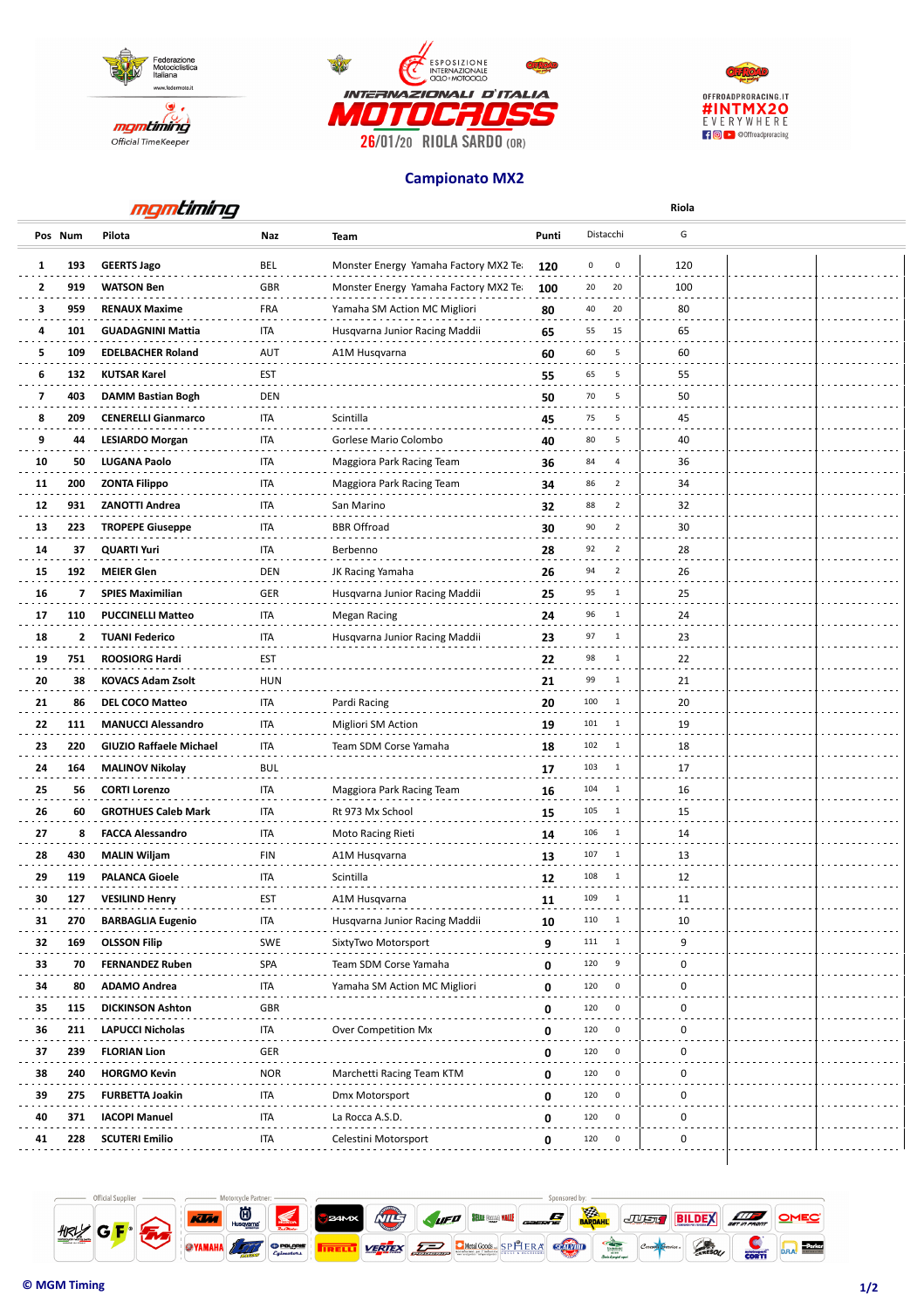





## **Campionato MX2**

| G<br>Distacchi<br>Pilota<br>Pos Num<br>Naz<br>Punti<br><b>Team</b><br><b>GEERTS Jago</b><br>BEL<br>120<br>193<br>Monster Energy Yamaha Factory MX2 Tea<br>120<br>0<br>$\mathbf 0$<br>1<br>$\mathbf{2}$<br><b>WATSON Ben</b><br><b>GBR</b><br>20<br>20<br>919<br>Monster Energy Yamaha Factory MX2 Tea<br>100<br>100<br>20<br>3<br>959<br><b>RENAUX Maxime</b><br><b>FRA</b><br>40<br>80<br>Yamaha SM Action MC Migliori<br>80<br><b>ITA</b><br>15<br>65<br>4<br>101<br><b>GUADAGNINI Mattia</b><br>65<br>55<br>Husqvarna Junior Racing Maddii<br><b>AUT</b><br>60<br>5<br>109<br><b>EDELBACHER Roland</b><br>60<br>5<br>A1M Husqvarna<br>60<br>5<br><b>EST</b><br>65<br>55<br>6<br>132<br><b>KUTSAR Karel</b><br>55<br><b>DEN</b><br>7<br>403<br>70<br>5<br>50<br>DAMM Bastian Bogh<br>50<br>8<br>209<br><b>CENERELLI Gianmarco</b><br><b>ITA</b><br>Scintilla<br>75<br>5<br>45<br>45<br>9<br><b>ITA</b><br>80<br>5<br><b>LESIARDO Morgan</b><br>Gorlese Mario Colombo<br>40<br>44<br>40<br>10<br><b>ITA</b><br>50<br>LUGANA Paolo<br>Maggiora Park Racing Team<br>84<br>$\overline{4}$<br>36<br>36<br>34<br>11<br>200<br><b>ZONTA Filippo</b><br>ITA<br>Maggiora Park Racing Team<br>34<br>86<br>$\overline{2}$<br><b>ITA</b><br>$\overline{2}$<br>32<br>12<br>931<br><b>ZANOTTI Andrea</b><br>88<br>San Marino<br>32<br>90<br>$\overline{2}$<br>13<br>223<br><b>TROPEPE Giuseppe</b><br>ITA<br><b>BBR</b> Offroad<br>30<br>30<br>$\overline{2}$<br>14<br>37<br><b>QUARTI Yuri</b><br>ITA<br>Berbenno<br>92<br>28<br>28<br>$\overline{2}$<br><b>DEN</b><br>94<br>15<br>192<br><b>MEIER Glen</b><br>26<br>JK Racing Yamaha<br>26<br>16<br><b>GER</b><br>7<br><b>SPIES Maximilian</b><br>Husqvarna Junior Racing Maddii<br>95<br>1<br>25<br>25<br>96<br>$\mathbf{1}$<br>24<br>17<br>110<br><b>PUCCINELLI Matteo</b><br>ITA<br><b>Megan Racing</b><br>24<br>23<br>18<br>ITA<br>97<br>2<br><b>TUANI Federico</b><br>Husqvarna Junior Racing Maddii<br>$\mathbf{1}$<br>23<br>98<br>$\overline{1}$<br>22<br>19<br>751<br><b>ROOSIORG Hardi</b><br><b>EST</b><br>22<br>99<br>20<br>38<br><b>KOVACS Adam Zsolt</b><br><b>HUN</b><br>$\mathbf{1}$<br>21<br>21<br>100<br>21<br>86<br><b>DEL COCO Matteo</b><br>ITA<br>Pardi Racing<br>$\overline{1}$<br>20<br>20<br><b>MANUCCI Alessandro</b><br><b>ITA</b><br>19<br>22<br>111<br>Migliori SM Action<br>101<br>$\overline{1}$<br>19<br><b>ITA</b><br>102<br>$\mathbf{1}$<br>18<br>23<br>220<br><b>GIUZIO Raffaele Michael</b><br>18<br>Team SDM Corse Yamaha<br><b>BUL</b><br>103<br>17<br>24<br>164<br><b>MALINOV Nikolay</b><br>1<br>17<br><b>ITA</b><br>104<br>$\overline{1}$<br>25<br>56<br><b>CORTI Lorenzo</b><br>Maggiora Park Racing Team<br>16<br>16<br><b>GROTHUES Caleb Mark</b><br>105<br>26<br>60<br>ITA<br>Rt 973 Mx School<br>15<br>15<br>1<br>106<br>27<br><b>FACCA Alessandro</b><br>ITA<br>1<br>14<br>8<br>Moto Racing Rieti<br>14<br>107<br>28<br>430<br><b>MALIN Wiljam</b><br><b>FIN</b><br>A1M Husqvarna<br>$\overline{1}$<br>13<br>13<br>108<br>29<br><b>ITA</b><br>$\mathbf{1}$<br>12<br>119<br><b>PALANCA Gioele</b><br>Scintilla<br>12<br>30<br>127<br><b>VESILIND Henry</b><br>EST<br>A1M Husqvarna<br>11<br>109<br>11<br>31<br>270<br><b>BARBAGLIA Eugenio</b><br>ITA<br>Husqvarna Junior Racing Maddii<br>110<br>10<br>10<br>$\overline{1}$<br>9<br>32<br><b>SWE</b><br>9<br>169<br><b>OLSSON Filip</b><br>SixtyTwo Motorsport<br>111<br>1<br>33<br><b>FERNANDEZ Ruben</b><br><b>SPA</b><br>0<br>70<br>Team SDM Corse Yamaha<br>120<br>9<br>0<br>0<br>34<br><b>ADAMO Andrea</b><br>ITA<br>Yamaha SM Action MC Migliori<br>80<br>0<br>120<br>0<br>$\mathbf 0$<br>GBR<br>35<br>115<br><b>DICKINSON Ashton</b><br>120<br>0<br>0<br>36<br>211<br>ITA<br>Over Competition Mx<br>120<br>0<br>0<br><b>LAPUCCI Nicholas</b><br>0<br><b>GER</b><br>0<br>37<br>239<br><b>FLORIAN Lion</b><br>120<br>0<br>0<br>0<br>38<br>240<br><b>NOR</b><br>Marchetti Racing Team KTM<br>0<br>120<br>0<br><b>HORGMO Kevin</b><br>39<br>ITA<br>0<br>275<br><b>FURBETTA Joakin</b><br>Dmx Motorsport<br>120<br>0<br>0<br>40<br><b>IACOPI Manuel</b><br>0<br>120<br>0<br>371<br>ITA<br>La Rocca A.S.D.<br>0<br>41<br>228<br><b>SCUTERI Emilio</b><br>ITA<br>Celestini Motorsport<br>120<br>0<br>0<br>0 |  | mgmtiming |  | Riola |  |  |
|-------------------------------------------------------------------------------------------------------------------------------------------------------------------------------------------------------------------------------------------------------------------------------------------------------------------------------------------------------------------------------------------------------------------------------------------------------------------------------------------------------------------------------------------------------------------------------------------------------------------------------------------------------------------------------------------------------------------------------------------------------------------------------------------------------------------------------------------------------------------------------------------------------------------------------------------------------------------------------------------------------------------------------------------------------------------------------------------------------------------------------------------------------------------------------------------------------------------------------------------------------------------------------------------------------------------------------------------------------------------------------------------------------------------------------------------------------------------------------------------------------------------------------------------------------------------------------------------------------------------------------------------------------------------------------------------------------------------------------------------------------------------------------------------------------------------------------------------------------------------------------------------------------------------------------------------------------------------------------------------------------------------------------------------------------------------------------------------------------------------------------------------------------------------------------------------------------------------------------------------------------------------------------------------------------------------------------------------------------------------------------------------------------------------------------------------------------------------------------------------------------------------------------------------------------------------------------------------------------------------------------------------------------------------------------------------------------------------------------------------------------------------------------------------------------------------------------------------------------------------------------------------------------------------------------------------------------------------------------------------------------------------------------------------------------------------------------------------------------------------------------------------------------------------------------------------------------------------------------------------------------------------------------------------------------------------------------------------------------------------------------------------------------------------------------------------------------------------------------------------------------------------------------------------------------------------------------------------------------------------------------------------------------------------------------------------------------------------------------------------------------------------------------------------------------------------------------------------------------------------------------------------------------------------------------------------------------------------------------------------------------------------------------------------------------------------------------------------------------------------------------------------------------------------------------------------------------------------------------------------------|--|-----------|--|-------|--|--|
|                                                                                                                                                                                                                                                                                                                                                                                                                                                                                                                                                                                                                                                                                                                                                                                                                                                                                                                                                                                                                                                                                                                                                                                                                                                                                                                                                                                                                                                                                                                                                                                                                                                                                                                                                                                                                                                                                                                                                                                                                                                                                                                                                                                                                                                                                                                                                                                                                                                                                                                                                                                                                                                                                                                                                                                                                                                                                                                                                                                                                                                                                                                                                                                                                                                                                                                                                                                                                                                                                                                                                                                                                                                                                                                                                                                                                                                                                                                                                                                                                                                                                                                                                                                                                                                 |  |           |  |       |  |  |
|                                                                                                                                                                                                                                                                                                                                                                                                                                                                                                                                                                                                                                                                                                                                                                                                                                                                                                                                                                                                                                                                                                                                                                                                                                                                                                                                                                                                                                                                                                                                                                                                                                                                                                                                                                                                                                                                                                                                                                                                                                                                                                                                                                                                                                                                                                                                                                                                                                                                                                                                                                                                                                                                                                                                                                                                                                                                                                                                                                                                                                                                                                                                                                                                                                                                                                                                                                                                                                                                                                                                                                                                                                                                                                                                                                                                                                                                                                                                                                                                                                                                                                                                                                                                                                                 |  |           |  |       |  |  |
|                                                                                                                                                                                                                                                                                                                                                                                                                                                                                                                                                                                                                                                                                                                                                                                                                                                                                                                                                                                                                                                                                                                                                                                                                                                                                                                                                                                                                                                                                                                                                                                                                                                                                                                                                                                                                                                                                                                                                                                                                                                                                                                                                                                                                                                                                                                                                                                                                                                                                                                                                                                                                                                                                                                                                                                                                                                                                                                                                                                                                                                                                                                                                                                                                                                                                                                                                                                                                                                                                                                                                                                                                                                                                                                                                                                                                                                                                                                                                                                                                                                                                                                                                                                                                                                 |  |           |  |       |  |  |
|                                                                                                                                                                                                                                                                                                                                                                                                                                                                                                                                                                                                                                                                                                                                                                                                                                                                                                                                                                                                                                                                                                                                                                                                                                                                                                                                                                                                                                                                                                                                                                                                                                                                                                                                                                                                                                                                                                                                                                                                                                                                                                                                                                                                                                                                                                                                                                                                                                                                                                                                                                                                                                                                                                                                                                                                                                                                                                                                                                                                                                                                                                                                                                                                                                                                                                                                                                                                                                                                                                                                                                                                                                                                                                                                                                                                                                                                                                                                                                                                                                                                                                                                                                                                                                                 |  |           |  |       |  |  |
|                                                                                                                                                                                                                                                                                                                                                                                                                                                                                                                                                                                                                                                                                                                                                                                                                                                                                                                                                                                                                                                                                                                                                                                                                                                                                                                                                                                                                                                                                                                                                                                                                                                                                                                                                                                                                                                                                                                                                                                                                                                                                                                                                                                                                                                                                                                                                                                                                                                                                                                                                                                                                                                                                                                                                                                                                                                                                                                                                                                                                                                                                                                                                                                                                                                                                                                                                                                                                                                                                                                                                                                                                                                                                                                                                                                                                                                                                                                                                                                                                                                                                                                                                                                                                                                 |  |           |  |       |  |  |
|                                                                                                                                                                                                                                                                                                                                                                                                                                                                                                                                                                                                                                                                                                                                                                                                                                                                                                                                                                                                                                                                                                                                                                                                                                                                                                                                                                                                                                                                                                                                                                                                                                                                                                                                                                                                                                                                                                                                                                                                                                                                                                                                                                                                                                                                                                                                                                                                                                                                                                                                                                                                                                                                                                                                                                                                                                                                                                                                                                                                                                                                                                                                                                                                                                                                                                                                                                                                                                                                                                                                                                                                                                                                                                                                                                                                                                                                                                                                                                                                                                                                                                                                                                                                                                                 |  |           |  |       |  |  |
|                                                                                                                                                                                                                                                                                                                                                                                                                                                                                                                                                                                                                                                                                                                                                                                                                                                                                                                                                                                                                                                                                                                                                                                                                                                                                                                                                                                                                                                                                                                                                                                                                                                                                                                                                                                                                                                                                                                                                                                                                                                                                                                                                                                                                                                                                                                                                                                                                                                                                                                                                                                                                                                                                                                                                                                                                                                                                                                                                                                                                                                                                                                                                                                                                                                                                                                                                                                                                                                                                                                                                                                                                                                                                                                                                                                                                                                                                                                                                                                                                                                                                                                                                                                                                                                 |  |           |  |       |  |  |
|                                                                                                                                                                                                                                                                                                                                                                                                                                                                                                                                                                                                                                                                                                                                                                                                                                                                                                                                                                                                                                                                                                                                                                                                                                                                                                                                                                                                                                                                                                                                                                                                                                                                                                                                                                                                                                                                                                                                                                                                                                                                                                                                                                                                                                                                                                                                                                                                                                                                                                                                                                                                                                                                                                                                                                                                                                                                                                                                                                                                                                                                                                                                                                                                                                                                                                                                                                                                                                                                                                                                                                                                                                                                                                                                                                                                                                                                                                                                                                                                                                                                                                                                                                                                                                                 |  |           |  |       |  |  |
|                                                                                                                                                                                                                                                                                                                                                                                                                                                                                                                                                                                                                                                                                                                                                                                                                                                                                                                                                                                                                                                                                                                                                                                                                                                                                                                                                                                                                                                                                                                                                                                                                                                                                                                                                                                                                                                                                                                                                                                                                                                                                                                                                                                                                                                                                                                                                                                                                                                                                                                                                                                                                                                                                                                                                                                                                                                                                                                                                                                                                                                                                                                                                                                                                                                                                                                                                                                                                                                                                                                                                                                                                                                                                                                                                                                                                                                                                                                                                                                                                                                                                                                                                                                                                                                 |  |           |  |       |  |  |
|                                                                                                                                                                                                                                                                                                                                                                                                                                                                                                                                                                                                                                                                                                                                                                                                                                                                                                                                                                                                                                                                                                                                                                                                                                                                                                                                                                                                                                                                                                                                                                                                                                                                                                                                                                                                                                                                                                                                                                                                                                                                                                                                                                                                                                                                                                                                                                                                                                                                                                                                                                                                                                                                                                                                                                                                                                                                                                                                                                                                                                                                                                                                                                                                                                                                                                                                                                                                                                                                                                                                                                                                                                                                                                                                                                                                                                                                                                                                                                                                                                                                                                                                                                                                                                                 |  |           |  |       |  |  |
|                                                                                                                                                                                                                                                                                                                                                                                                                                                                                                                                                                                                                                                                                                                                                                                                                                                                                                                                                                                                                                                                                                                                                                                                                                                                                                                                                                                                                                                                                                                                                                                                                                                                                                                                                                                                                                                                                                                                                                                                                                                                                                                                                                                                                                                                                                                                                                                                                                                                                                                                                                                                                                                                                                                                                                                                                                                                                                                                                                                                                                                                                                                                                                                                                                                                                                                                                                                                                                                                                                                                                                                                                                                                                                                                                                                                                                                                                                                                                                                                                                                                                                                                                                                                                                                 |  |           |  |       |  |  |
|                                                                                                                                                                                                                                                                                                                                                                                                                                                                                                                                                                                                                                                                                                                                                                                                                                                                                                                                                                                                                                                                                                                                                                                                                                                                                                                                                                                                                                                                                                                                                                                                                                                                                                                                                                                                                                                                                                                                                                                                                                                                                                                                                                                                                                                                                                                                                                                                                                                                                                                                                                                                                                                                                                                                                                                                                                                                                                                                                                                                                                                                                                                                                                                                                                                                                                                                                                                                                                                                                                                                                                                                                                                                                                                                                                                                                                                                                                                                                                                                                                                                                                                                                                                                                                                 |  |           |  |       |  |  |
|                                                                                                                                                                                                                                                                                                                                                                                                                                                                                                                                                                                                                                                                                                                                                                                                                                                                                                                                                                                                                                                                                                                                                                                                                                                                                                                                                                                                                                                                                                                                                                                                                                                                                                                                                                                                                                                                                                                                                                                                                                                                                                                                                                                                                                                                                                                                                                                                                                                                                                                                                                                                                                                                                                                                                                                                                                                                                                                                                                                                                                                                                                                                                                                                                                                                                                                                                                                                                                                                                                                                                                                                                                                                                                                                                                                                                                                                                                                                                                                                                                                                                                                                                                                                                                                 |  |           |  |       |  |  |
|                                                                                                                                                                                                                                                                                                                                                                                                                                                                                                                                                                                                                                                                                                                                                                                                                                                                                                                                                                                                                                                                                                                                                                                                                                                                                                                                                                                                                                                                                                                                                                                                                                                                                                                                                                                                                                                                                                                                                                                                                                                                                                                                                                                                                                                                                                                                                                                                                                                                                                                                                                                                                                                                                                                                                                                                                                                                                                                                                                                                                                                                                                                                                                                                                                                                                                                                                                                                                                                                                                                                                                                                                                                                                                                                                                                                                                                                                                                                                                                                                                                                                                                                                                                                                                                 |  |           |  |       |  |  |
|                                                                                                                                                                                                                                                                                                                                                                                                                                                                                                                                                                                                                                                                                                                                                                                                                                                                                                                                                                                                                                                                                                                                                                                                                                                                                                                                                                                                                                                                                                                                                                                                                                                                                                                                                                                                                                                                                                                                                                                                                                                                                                                                                                                                                                                                                                                                                                                                                                                                                                                                                                                                                                                                                                                                                                                                                                                                                                                                                                                                                                                                                                                                                                                                                                                                                                                                                                                                                                                                                                                                                                                                                                                                                                                                                                                                                                                                                                                                                                                                                                                                                                                                                                                                                                                 |  |           |  |       |  |  |
|                                                                                                                                                                                                                                                                                                                                                                                                                                                                                                                                                                                                                                                                                                                                                                                                                                                                                                                                                                                                                                                                                                                                                                                                                                                                                                                                                                                                                                                                                                                                                                                                                                                                                                                                                                                                                                                                                                                                                                                                                                                                                                                                                                                                                                                                                                                                                                                                                                                                                                                                                                                                                                                                                                                                                                                                                                                                                                                                                                                                                                                                                                                                                                                                                                                                                                                                                                                                                                                                                                                                                                                                                                                                                                                                                                                                                                                                                                                                                                                                                                                                                                                                                                                                                                                 |  |           |  |       |  |  |
|                                                                                                                                                                                                                                                                                                                                                                                                                                                                                                                                                                                                                                                                                                                                                                                                                                                                                                                                                                                                                                                                                                                                                                                                                                                                                                                                                                                                                                                                                                                                                                                                                                                                                                                                                                                                                                                                                                                                                                                                                                                                                                                                                                                                                                                                                                                                                                                                                                                                                                                                                                                                                                                                                                                                                                                                                                                                                                                                                                                                                                                                                                                                                                                                                                                                                                                                                                                                                                                                                                                                                                                                                                                                                                                                                                                                                                                                                                                                                                                                                                                                                                                                                                                                                                                 |  |           |  |       |  |  |
|                                                                                                                                                                                                                                                                                                                                                                                                                                                                                                                                                                                                                                                                                                                                                                                                                                                                                                                                                                                                                                                                                                                                                                                                                                                                                                                                                                                                                                                                                                                                                                                                                                                                                                                                                                                                                                                                                                                                                                                                                                                                                                                                                                                                                                                                                                                                                                                                                                                                                                                                                                                                                                                                                                                                                                                                                                                                                                                                                                                                                                                                                                                                                                                                                                                                                                                                                                                                                                                                                                                                                                                                                                                                                                                                                                                                                                                                                                                                                                                                                                                                                                                                                                                                                                                 |  |           |  |       |  |  |
|                                                                                                                                                                                                                                                                                                                                                                                                                                                                                                                                                                                                                                                                                                                                                                                                                                                                                                                                                                                                                                                                                                                                                                                                                                                                                                                                                                                                                                                                                                                                                                                                                                                                                                                                                                                                                                                                                                                                                                                                                                                                                                                                                                                                                                                                                                                                                                                                                                                                                                                                                                                                                                                                                                                                                                                                                                                                                                                                                                                                                                                                                                                                                                                                                                                                                                                                                                                                                                                                                                                                                                                                                                                                                                                                                                                                                                                                                                                                                                                                                                                                                                                                                                                                                                                 |  |           |  |       |  |  |
|                                                                                                                                                                                                                                                                                                                                                                                                                                                                                                                                                                                                                                                                                                                                                                                                                                                                                                                                                                                                                                                                                                                                                                                                                                                                                                                                                                                                                                                                                                                                                                                                                                                                                                                                                                                                                                                                                                                                                                                                                                                                                                                                                                                                                                                                                                                                                                                                                                                                                                                                                                                                                                                                                                                                                                                                                                                                                                                                                                                                                                                                                                                                                                                                                                                                                                                                                                                                                                                                                                                                                                                                                                                                                                                                                                                                                                                                                                                                                                                                                                                                                                                                                                                                                                                 |  |           |  |       |  |  |
|                                                                                                                                                                                                                                                                                                                                                                                                                                                                                                                                                                                                                                                                                                                                                                                                                                                                                                                                                                                                                                                                                                                                                                                                                                                                                                                                                                                                                                                                                                                                                                                                                                                                                                                                                                                                                                                                                                                                                                                                                                                                                                                                                                                                                                                                                                                                                                                                                                                                                                                                                                                                                                                                                                                                                                                                                                                                                                                                                                                                                                                                                                                                                                                                                                                                                                                                                                                                                                                                                                                                                                                                                                                                                                                                                                                                                                                                                                                                                                                                                                                                                                                                                                                                                                                 |  |           |  |       |  |  |
|                                                                                                                                                                                                                                                                                                                                                                                                                                                                                                                                                                                                                                                                                                                                                                                                                                                                                                                                                                                                                                                                                                                                                                                                                                                                                                                                                                                                                                                                                                                                                                                                                                                                                                                                                                                                                                                                                                                                                                                                                                                                                                                                                                                                                                                                                                                                                                                                                                                                                                                                                                                                                                                                                                                                                                                                                                                                                                                                                                                                                                                                                                                                                                                                                                                                                                                                                                                                                                                                                                                                                                                                                                                                                                                                                                                                                                                                                                                                                                                                                                                                                                                                                                                                                                                 |  |           |  |       |  |  |
|                                                                                                                                                                                                                                                                                                                                                                                                                                                                                                                                                                                                                                                                                                                                                                                                                                                                                                                                                                                                                                                                                                                                                                                                                                                                                                                                                                                                                                                                                                                                                                                                                                                                                                                                                                                                                                                                                                                                                                                                                                                                                                                                                                                                                                                                                                                                                                                                                                                                                                                                                                                                                                                                                                                                                                                                                                                                                                                                                                                                                                                                                                                                                                                                                                                                                                                                                                                                                                                                                                                                                                                                                                                                                                                                                                                                                                                                                                                                                                                                                                                                                                                                                                                                                                                 |  |           |  |       |  |  |
|                                                                                                                                                                                                                                                                                                                                                                                                                                                                                                                                                                                                                                                                                                                                                                                                                                                                                                                                                                                                                                                                                                                                                                                                                                                                                                                                                                                                                                                                                                                                                                                                                                                                                                                                                                                                                                                                                                                                                                                                                                                                                                                                                                                                                                                                                                                                                                                                                                                                                                                                                                                                                                                                                                                                                                                                                                                                                                                                                                                                                                                                                                                                                                                                                                                                                                                                                                                                                                                                                                                                                                                                                                                                                                                                                                                                                                                                                                                                                                                                                                                                                                                                                                                                                                                 |  |           |  |       |  |  |
|                                                                                                                                                                                                                                                                                                                                                                                                                                                                                                                                                                                                                                                                                                                                                                                                                                                                                                                                                                                                                                                                                                                                                                                                                                                                                                                                                                                                                                                                                                                                                                                                                                                                                                                                                                                                                                                                                                                                                                                                                                                                                                                                                                                                                                                                                                                                                                                                                                                                                                                                                                                                                                                                                                                                                                                                                                                                                                                                                                                                                                                                                                                                                                                                                                                                                                                                                                                                                                                                                                                                                                                                                                                                                                                                                                                                                                                                                                                                                                                                                                                                                                                                                                                                                                                 |  |           |  |       |  |  |
|                                                                                                                                                                                                                                                                                                                                                                                                                                                                                                                                                                                                                                                                                                                                                                                                                                                                                                                                                                                                                                                                                                                                                                                                                                                                                                                                                                                                                                                                                                                                                                                                                                                                                                                                                                                                                                                                                                                                                                                                                                                                                                                                                                                                                                                                                                                                                                                                                                                                                                                                                                                                                                                                                                                                                                                                                                                                                                                                                                                                                                                                                                                                                                                                                                                                                                                                                                                                                                                                                                                                                                                                                                                                                                                                                                                                                                                                                                                                                                                                                                                                                                                                                                                                                                                 |  |           |  |       |  |  |
|                                                                                                                                                                                                                                                                                                                                                                                                                                                                                                                                                                                                                                                                                                                                                                                                                                                                                                                                                                                                                                                                                                                                                                                                                                                                                                                                                                                                                                                                                                                                                                                                                                                                                                                                                                                                                                                                                                                                                                                                                                                                                                                                                                                                                                                                                                                                                                                                                                                                                                                                                                                                                                                                                                                                                                                                                                                                                                                                                                                                                                                                                                                                                                                                                                                                                                                                                                                                                                                                                                                                                                                                                                                                                                                                                                                                                                                                                                                                                                                                                                                                                                                                                                                                                                                 |  |           |  |       |  |  |
|                                                                                                                                                                                                                                                                                                                                                                                                                                                                                                                                                                                                                                                                                                                                                                                                                                                                                                                                                                                                                                                                                                                                                                                                                                                                                                                                                                                                                                                                                                                                                                                                                                                                                                                                                                                                                                                                                                                                                                                                                                                                                                                                                                                                                                                                                                                                                                                                                                                                                                                                                                                                                                                                                                                                                                                                                                                                                                                                                                                                                                                                                                                                                                                                                                                                                                                                                                                                                                                                                                                                                                                                                                                                                                                                                                                                                                                                                                                                                                                                                                                                                                                                                                                                                                                 |  |           |  |       |  |  |
|                                                                                                                                                                                                                                                                                                                                                                                                                                                                                                                                                                                                                                                                                                                                                                                                                                                                                                                                                                                                                                                                                                                                                                                                                                                                                                                                                                                                                                                                                                                                                                                                                                                                                                                                                                                                                                                                                                                                                                                                                                                                                                                                                                                                                                                                                                                                                                                                                                                                                                                                                                                                                                                                                                                                                                                                                                                                                                                                                                                                                                                                                                                                                                                                                                                                                                                                                                                                                                                                                                                                                                                                                                                                                                                                                                                                                                                                                                                                                                                                                                                                                                                                                                                                                                                 |  |           |  |       |  |  |
|                                                                                                                                                                                                                                                                                                                                                                                                                                                                                                                                                                                                                                                                                                                                                                                                                                                                                                                                                                                                                                                                                                                                                                                                                                                                                                                                                                                                                                                                                                                                                                                                                                                                                                                                                                                                                                                                                                                                                                                                                                                                                                                                                                                                                                                                                                                                                                                                                                                                                                                                                                                                                                                                                                                                                                                                                                                                                                                                                                                                                                                                                                                                                                                                                                                                                                                                                                                                                                                                                                                                                                                                                                                                                                                                                                                                                                                                                                                                                                                                                                                                                                                                                                                                                                                 |  |           |  |       |  |  |
|                                                                                                                                                                                                                                                                                                                                                                                                                                                                                                                                                                                                                                                                                                                                                                                                                                                                                                                                                                                                                                                                                                                                                                                                                                                                                                                                                                                                                                                                                                                                                                                                                                                                                                                                                                                                                                                                                                                                                                                                                                                                                                                                                                                                                                                                                                                                                                                                                                                                                                                                                                                                                                                                                                                                                                                                                                                                                                                                                                                                                                                                                                                                                                                                                                                                                                                                                                                                                                                                                                                                                                                                                                                                                                                                                                                                                                                                                                                                                                                                                                                                                                                                                                                                                                                 |  |           |  |       |  |  |
|                                                                                                                                                                                                                                                                                                                                                                                                                                                                                                                                                                                                                                                                                                                                                                                                                                                                                                                                                                                                                                                                                                                                                                                                                                                                                                                                                                                                                                                                                                                                                                                                                                                                                                                                                                                                                                                                                                                                                                                                                                                                                                                                                                                                                                                                                                                                                                                                                                                                                                                                                                                                                                                                                                                                                                                                                                                                                                                                                                                                                                                                                                                                                                                                                                                                                                                                                                                                                                                                                                                                                                                                                                                                                                                                                                                                                                                                                                                                                                                                                                                                                                                                                                                                                                                 |  |           |  |       |  |  |
|                                                                                                                                                                                                                                                                                                                                                                                                                                                                                                                                                                                                                                                                                                                                                                                                                                                                                                                                                                                                                                                                                                                                                                                                                                                                                                                                                                                                                                                                                                                                                                                                                                                                                                                                                                                                                                                                                                                                                                                                                                                                                                                                                                                                                                                                                                                                                                                                                                                                                                                                                                                                                                                                                                                                                                                                                                                                                                                                                                                                                                                                                                                                                                                                                                                                                                                                                                                                                                                                                                                                                                                                                                                                                                                                                                                                                                                                                                                                                                                                                                                                                                                                                                                                                                                 |  |           |  |       |  |  |
|                                                                                                                                                                                                                                                                                                                                                                                                                                                                                                                                                                                                                                                                                                                                                                                                                                                                                                                                                                                                                                                                                                                                                                                                                                                                                                                                                                                                                                                                                                                                                                                                                                                                                                                                                                                                                                                                                                                                                                                                                                                                                                                                                                                                                                                                                                                                                                                                                                                                                                                                                                                                                                                                                                                                                                                                                                                                                                                                                                                                                                                                                                                                                                                                                                                                                                                                                                                                                                                                                                                                                                                                                                                                                                                                                                                                                                                                                                                                                                                                                                                                                                                                                                                                                                                 |  |           |  |       |  |  |
|                                                                                                                                                                                                                                                                                                                                                                                                                                                                                                                                                                                                                                                                                                                                                                                                                                                                                                                                                                                                                                                                                                                                                                                                                                                                                                                                                                                                                                                                                                                                                                                                                                                                                                                                                                                                                                                                                                                                                                                                                                                                                                                                                                                                                                                                                                                                                                                                                                                                                                                                                                                                                                                                                                                                                                                                                                                                                                                                                                                                                                                                                                                                                                                                                                                                                                                                                                                                                                                                                                                                                                                                                                                                                                                                                                                                                                                                                                                                                                                                                                                                                                                                                                                                                                                 |  |           |  |       |  |  |
|                                                                                                                                                                                                                                                                                                                                                                                                                                                                                                                                                                                                                                                                                                                                                                                                                                                                                                                                                                                                                                                                                                                                                                                                                                                                                                                                                                                                                                                                                                                                                                                                                                                                                                                                                                                                                                                                                                                                                                                                                                                                                                                                                                                                                                                                                                                                                                                                                                                                                                                                                                                                                                                                                                                                                                                                                                                                                                                                                                                                                                                                                                                                                                                                                                                                                                                                                                                                                                                                                                                                                                                                                                                                                                                                                                                                                                                                                                                                                                                                                                                                                                                                                                                                                                                 |  |           |  |       |  |  |
|                                                                                                                                                                                                                                                                                                                                                                                                                                                                                                                                                                                                                                                                                                                                                                                                                                                                                                                                                                                                                                                                                                                                                                                                                                                                                                                                                                                                                                                                                                                                                                                                                                                                                                                                                                                                                                                                                                                                                                                                                                                                                                                                                                                                                                                                                                                                                                                                                                                                                                                                                                                                                                                                                                                                                                                                                                                                                                                                                                                                                                                                                                                                                                                                                                                                                                                                                                                                                                                                                                                                                                                                                                                                                                                                                                                                                                                                                                                                                                                                                                                                                                                                                                                                                                                 |  |           |  |       |  |  |
|                                                                                                                                                                                                                                                                                                                                                                                                                                                                                                                                                                                                                                                                                                                                                                                                                                                                                                                                                                                                                                                                                                                                                                                                                                                                                                                                                                                                                                                                                                                                                                                                                                                                                                                                                                                                                                                                                                                                                                                                                                                                                                                                                                                                                                                                                                                                                                                                                                                                                                                                                                                                                                                                                                                                                                                                                                                                                                                                                                                                                                                                                                                                                                                                                                                                                                                                                                                                                                                                                                                                                                                                                                                                                                                                                                                                                                                                                                                                                                                                                                                                                                                                                                                                                                                 |  |           |  |       |  |  |
|                                                                                                                                                                                                                                                                                                                                                                                                                                                                                                                                                                                                                                                                                                                                                                                                                                                                                                                                                                                                                                                                                                                                                                                                                                                                                                                                                                                                                                                                                                                                                                                                                                                                                                                                                                                                                                                                                                                                                                                                                                                                                                                                                                                                                                                                                                                                                                                                                                                                                                                                                                                                                                                                                                                                                                                                                                                                                                                                                                                                                                                                                                                                                                                                                                                                                                                                                                                                                                                                                                                                                                                                                                                                                                                                                                                                                                                                                                                                                                                                                                                                                                                                                                                                                                                 |  |           |  |       |  |  |
|                                                                                                                                                                                                                                                                                                                                                                                                                                                                                                                                                                                                                                                                                                                                                                                                                                                                                                                                                                                                                                                                                                                                                                                                                                                                                                                                                                                                                                                                                                                                                                                                                                                                                                                                                                                                                                                                                                                                                                                                                                                                                                                                                                                                                                                                                                                                                                                                                                                                                                                                                                                                                                                                                                                                                                                                                                                                                                                                                                                                                                                                                                                                                                                                                                                                                                                                                                                                                                                                                                                                                                                                                                                                                                                                                                                                                                                                                                                                                                                                                                                                                                                                                                                                                                                 |  |           |  |       |  |  |
|                                                                                                                                                                                                                                                                                                                                                                                                                                                                                                                                                                                                                                                                                                                                                                                                                                                                                                                                                                                                                                                                                                                                                                                                                                                                                                                                                                                                                                                                                                                                                                                                                                                                                                                                                                                                                                                                                                                                                                                                                                                                                                                                                                                                                                                                                                                                                                                                                                                                                                                                                                                                                                                                                                                                                                                                                                                                                                                                                                                                                                                                                                                                                                                                                                                                                                                                                                                                                                                                                                                                                                                                                                                                                                                                                                                                                                                                                                                                                                                                                                                                                                                                                                                                                                                 |  |           |  |       |  |  |
|                                                                                                                                                                                                                                                                                                                                                                                                                                                                                                                                                                                                                                                                                                                                                                                                                                                                                                                                                                                                                                                                                                                                                                                                                                                                                                                                                                                                                                                                                                                                                                                                                                                                                                                                                                                                                                                                                                                                                                                                                                                                                                                                                                                                                                                                                                                                                                                                                                                                                                                                                                                                                                                                                                                                                                                                                                                                                                                                                                                                                                                                                                                                                                                                                                                                                                                                                                                                                                                                                                                                                                                                                                                                                                                                                                                                                                                                                                                                                                                                                                                                                                                                                                                                                                                 |  |           |  |       |  |  |